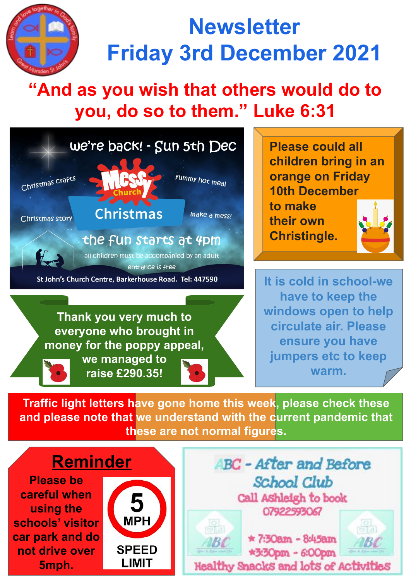

## **Newsletter Friday 3rd December 2021**

## **"And as you wish that others would do to you, do so to them." Luke 6:31**



**money for the poppy appeal,** 

**we managed to raise £290.35!**

**Please could all children bring in an orange on Friday 10th December to make** 

**their own Christingle.**



**It is cold in school-we have to keep the windows open to help circulate air. Please ensure you have jumpers etc to keep warm.**

**Traffic light letters have gone home this week, please check these and please note that we understand with the current pandemic that these are not normal figures.**

## **Reminder**

**Please be careful when using the schools' visitor car park and do not drive over 5mph.**